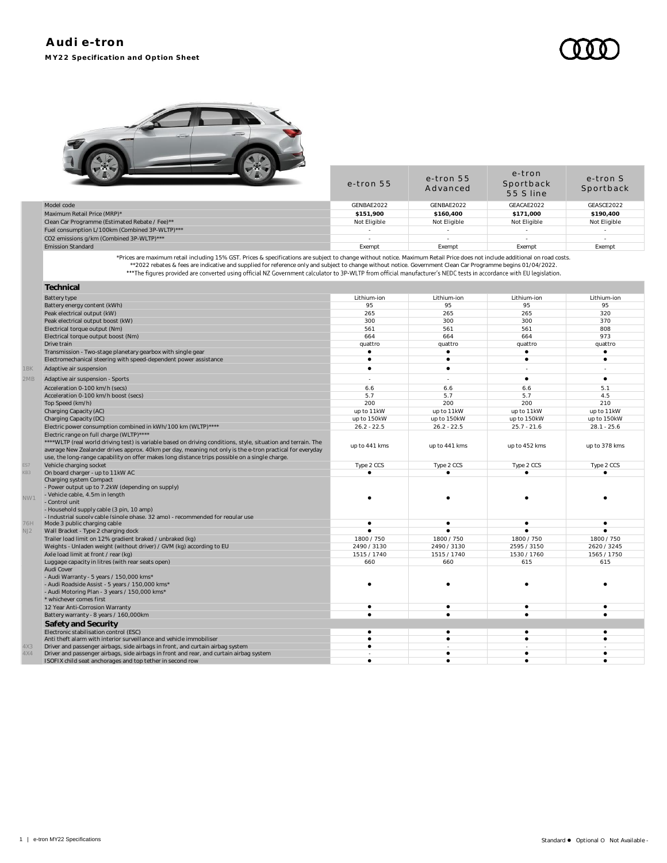e-tron



|                                                | e-tron 55    | e-tron 55<br>Advanced | - - - - -<br>Sportback<br>55 S line | e-tron S<br>Sportback |
|------------------------------------------------|--------------|-----------------------|-------------------------------------|-----------------------|
| Model code                                     | GENBAE2022   | GENBAE2022            | GEACAE2022                          | GEASCE2022            |
| Maximum Retail Price (MRP)*                    | \$151,900    | \$160,400             | \$171,000                           | \$190,400             |
| Clean Car Programme (Estimated Rebate / Fee)** | Not Eligible | Not Eligible          | Not Eligible                        | Not Eligible          |
| Fuel consumption L/100km (Combined 3P-WLTP)*** |              |                       |                                     |                       |
| CO2 emissions g/km (Combined 3P-WLTP)***       |              |                       |                                     |                       |
| <b>Emission Standard</b>                       | Exempt       | Exempt                | Exempt                              | Exempt                |
|                                                |              |                       |                                     |                       |

Prices are maximum retail including 15% GST. Prices & specifications are subject to change without notice. Maximum Retail Price does not include additional on road costs.<br>2022 rebates & fees are indicative and supplied for

|     | Technical                                                                                                                                                                                                                                                                                                                                                                |               |               |                          |               |
|-----|--------------------------------------------------------------------------------------------------------------------------------------------------------------------------------------------------------------------------------------------------------------------------------------------------------------------------------------------------------------------------|---------------|---------------|--------------------------|---------------|
|     | <b>Battery type</b>                                                                                                                                                                                                                                                                                                                                                      | Lithium-ion   | Lithium-ion   | Lithium-ion              | Lithium-ion   |
|     | Battery energy content (kWh)                                                                                                                                                                                                                                                                                                                                             | 95            | 95            | 95                       | 95            |
|     | Peak electrical output (kW)                                                                                                                                                                                                                                                                                                                                              | 265           | 265           | 265                      | 320           |
|     | Peak electrical output boost (kW)                                                                                                                                                                                                                                                                                                                                        | 300           | 300           | 300                      | 370           |
|     | Electrical torque output (Nm)                                                                                                                                                                                                                                                                                                                                            | 561           | 561           | 561                      | 808           |
|     | Electrical torque output boost (Nm)                                                                                                                                                                                                                                                                                                                                      | 664           | 664           | 664                      | 973           |
|     | Drive train                                                                                                                                                                                                                                                                                                                                                              | quattro       | quattro       | quattro                  | quattro       |
|     | Transmission - Two-stage planetary gearbox with single gear                                                                                                                                                                                                                                                                                                              | $\bullet$     | $\bullet$     | $\bullet$                |               |
|     | Electromechanical steering with speed-dependent power assistance                                                                                                                                                                                                                                                                                                         | ٠             | $\bullet$     | $\bullet$                |               |
| 1BK | Adaptive air suspension                                                                                                                                                                                                                                                                                                                                                  | ٠             | $\bullet$     | $\overline{\phantom{a}}$ |               |
| 2MB | Adaptive air suspension - Sports                                                                                                                                                                                                                                                                                                                                         |               | $\sim$        | $\bullet$                | $\bullet$     |
|     | Acceleration 0-100 km/h (secs)                                                                                                                                                                                                                                                                                                                                           | 6.6           | 6.6           | 6.6                      | 5.1           |
|     | Acceleration 0-100 km/h boost (secs)                                                                                                                                                                                                                                                                                                                                     | 5.7           | 5.7           | 5.7                      | 4.5           |
|     | Top Speed (km/h)                                                                                                                                                                                                                                                                                                                                                         | 200           | 200           | 200                      | 210           |
|     | Charging Capacity (AC)                                                                                                                                                                                                                                                                                                                                                   | up to 11kW    | up to 11kW    | up to 11kW               | up to 11kW    |
|     | Charging Capacity (DC)                                                                                                                                                                                                                                                                                                                                                   | up to 150kW   | up to 150kW   | up to 150kW              | up to 150kW   |
|     | Electric power consumption combined in kWh/100 km (WLTP)****                                                                                                                                                                                                                                                                                                             | $26.2 - 22.5$ | $26.2 - 22.5$ | $25.7 - 21.6$            | $28.1 - 25.6$ |
|     | Electric range on full charge (WLTP)****<br>**** WLTP (real world driving test) is variable based on driving conditions, style, situation and terrain. The<br>average New Zealander drives approx. 40km per day, meaning not only is the e-tron practical for everyday<br>use, the long-range capability on offer makes long distance trips possible on a single charge. | up to 441 kms | up to 441 kms | up to 452 kms            | up to 378 kms |
| ES7 | Vehicle charging socket                                                                                                                                                                                                                                                                                                                                                  | Type 2 CCS    | Type 2 CCS    | Type 2 CCS               | Type 2 CCS    |
| KB3 | On board charger - up to 11kW AC                                                                                                                                                                                                                                                                                                                                         |               |               | ٠                        |               |
| NW1 | Charging system Compact<br>- Power output up to 7.2kW (depending on supply)<br>- Vehicle cable, 4.5m in length<br>- Control unit<br>- Household supply cable (3 pin, 10 amp)<br>- Industrial supply cable (single phase, 32 amp) - recommended for regular use                                                                                                           |               |               |                          |               |
| 76H | Mode 3 public charging cable                                                                                                                                                                                                                                                                                                                                             | ٠             | $\bullet$     | $\bullet$                | ٠             |
| NJ2 | Wall Bracket - Type 2 charging dock                                                                                                                                                                                                                                                                                                                                      | $\bullet$     | $\bullet$     | $\bullet$                |               |
|     | Trailer load limit on 12% gradient braked / unbraked (kg)                                                                                                                                                                                                                                                                                                                | 1800 / 750    | 1800 / 750    | 1800 / 750               | 1800 / 750    |
|     | Weights - Unladen weight (without driver) / GVM (kg) according to EU                                                                                                                                                                                                                                                                                                     | 2490 / 3130   | 2490 / 3130   | 2595 / 3150              | 2620 / 3245   |
|     | Axle load limit at front / rear (kg)                                                                                                                                                                                                                                                                                                                                     | 1515 / 1740   | 1515 / 1740   | 1530 / 1760              | 1565 / 1750   |
|     | Luggage capacity in litres (with rear seats open)                                                                                                                                                                                                                                                                                                                        | 660           | 660           | 615                      | 615           |
|     | Audi Cover<br>- Audi Warranty - 5 years / 150,000 kms*<br>- Audi Roadside Assist - 5 years / 150,000 kms*<br>- Audi Motoring Plan - 3 years / 150,000 kms*<br>* whichever comes first                                                                                                                                                                                    |               |               |                          |               |
|     | 12 Year Anti-Corrosion Warranty                                                                                                                                                                                                                                                                                                                                          | ٠             | $\bullet$     | ٠                        |               |
|     | Battery warranty - 8 years / 160,000km                                                                                                                                                                                                                                                                                                                                   | ٠             |               | $\bullet$                |               |
|     | Safety and Security                                                                                                                                                                                                                                                                                                                                                      |               |               |                          |               |
|     | Electronic stabilisation control (ESC)                                                                                                                                                                                                                                                                                                                                   | $\bullet$     | $\bullet$     | ٠                        | ٠             |
|     | Anti theft alarm with interior surveillance and vehicle immobiliser                                                                                                                                                                                                                                                                                                      | ٠             | $\bullet$     | ٠                        |               |
| 4X3 | Driver and passenger airbags, side airbags in front, and curtain airbag system                                                                                                                                                                                                                                                                                           | $\bullet$     |               |                          |               |
| 4X4 | Driver and passenger airbags, side airbags in front and rear, and curtain airbag system                                                                                                                                                                                                                                                                                  |               | $\bullet$     | ٠                        |               |
|     | ISOFIX child seat anchorages and top tether in second row                                                                                                                                                                                                                                                                                                                | ٠             | $\bullet$     | ٠                        |               |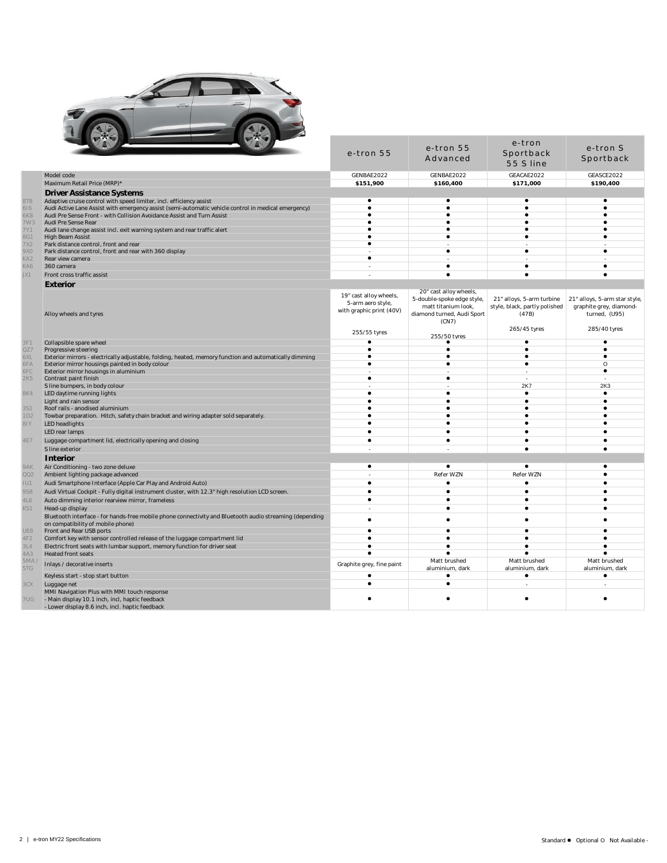

|                                                                                                                                                           | e-tron 55                                   | e-tron 55<br>Advanced        | e-tron<br>Sportback<br>55 S line | e-tron S<br>Sportback         |
|-----------------------------------------------------------------------------------------------------------------------------------------------------------|---------------------------------------------|------------------------------|----------------------------------|-------------------------------|
| Model code                                                                                                                                                | GENBAE2022                                  | GENBAE2022                   | GEACAE2022                       | GEASCE2022                    |
| Maximum Retail Price (MRP)*                                                                                                                               | \$151.900                                   | \$160,400                    | \$171.000                        | \$190.400                     |
| <b>Driver Assistance Systems</b>                                                                                                                          |                                             |                              |                                  |                               |
| Adaptive cruise control with speed limiter, incl. efficiency assist                                                                                       | $\bullet$                                   | $\bullet$                    | $\bullet$                        | ٠                             |
| Audi Active Lane Assist with emergency assist (semi-automatic vehicle control in medical emergency)                                                       | $\bullet$<br>$\bullet$                      | $\bullet$<br>$\bullet$       | $\bullet$<br>$\bullet$           |                               |
| Audi Pre Sense Front - with Collision Avoidance Assist and Turn Assist<br>Audi Pre Sense Rear                                                             | ٠                                           | ٠                            | $\bullet$                        |                               |
| Audi lane change assist incl. exit warning system and rear traffic alert                                                                                  | $\bullet$                                   | $\bullet$                    | $\bullet$                        | $\bullet$                     |
| <b>High Beam Assist</b>                                                                                                                                   | $\bullet$                                   | $\bullet$                    | $\bullet$                        |                               |
| Park distance control, front and rear                                                                                                                     | $\bullet$                                   | $\bullet$                    | $\bullet$                        |                               |
| Park distance control, front and rear with 360 display<br>Rear view camera                                                                                | ٠                                           |                              |                                  |                               |
| 360 camera                                                                                                                                                | $\overline{a}$                              | $\bullet$                    | $\bullet$                        | $\bullet$                     |
| Front cross traffic assist                                                                                                                                |                                             | $\bullet$                    | $\bullet$                        |                               |
| Exterior                                                                                                                                                  |                                             |                              |                                  |                               |
|                                                                                                                                                           |                                             | 20" cast alloy wheels,       |                                  |                               |
|                                                                                                                                                           | 19" cast alloy wheels,<br>5-arm aero style, | 5-double-spoke edge style,   | 21" alloys, 5-arm turbine        | 21" alloys, 5-arm star style, |
|                                                                                                                                                           | with graphic print (40V)                    | matt titanium look,          | style, black, partly polished    | graphite grey, diamond-       |
| Alloy wheels and tyres                                                                                                                                    |                                             | diamond turned, Audi Sport   | (47B)                            | turned, (U95)                 |
|                                                                                                                                                           |                                             | (CN7)                        | 265/45 tyres                     | 285/40 tyres                  |
|                                                                                                                                                           | 255/55 tyres                                | 255/50 tyres                 |                                  |                               |
| Collapsible spare wheel                                                                                                                                   | ٠                                           |                              | ٠                                |                               |
| Progressive steering                                                                                                                                      | $\bullet$                                   | $\bullet$                    | $\bullet$                        | $\bullet$                     |
| Exterior mirrors - electrically adjustable, folding, heated, memory function and automatically dimming<br>Exterior mirror housings painted in body colour | $\bullet$<br>$\bullet$                      | $\bullet$<br>$\bullet$       | $\bullet$<br>$\bullet$           | O                             |
| Exterior mirror housings in aluminium                                                                                                                     |                                             |                              |                                  | $\bullet$                     |
| Contrast paint finish                                                                                                                                     | $\bullet$                                   | $\bullet$                    |                                  |                               |
| S line bumpers, in body colour                                                                                                                            |                                             |                              | 2K7                              | 2K3                           |
| LED daytime running lights                                                                                                                                | $\bullet$                                   | $\bullet$                    | $\bullet$                        | $\bullet$                     |
| Light and rain sensor                                                                                                                                     | ٠<br>$\bullet$                              | $\bullet$                    | $\bullet$<br>$\bullet$           |                               |
| Roof rails - anodised aluminium<br>Towbar preparation. Hitch, safety chain bracket and wiring adapter sold separately.                                    | ٠                                           |                              |                                  |                               |
| LED headlights                                                                                                                                            | $\bullet$                                   | $\bullet$                    |                                  |                               |
| LED rear lamps                                                                                                                                            | $\bullet$                                   | $\bullet$                    | $\bullet$                        |                               |
| Luggage compartment lid, electrically opening and closing                                                                                                 | $\bullet$                                   | $\bullet$                    |                                  |                               |
| S line exterior                                                                                                                                           |                                             |                              | $\bullet$                        |                               |
| Interior                                                                                                                                                  |                                             |                              |                                  |                               |
| Air Conditioning - two zone deluxe                                                                                                                        | $\bullet$                                   | $\bullet$                    | $\bullet$                        |                               |
| Ambient lighting package advanced                                                                                                                         |                                             | Refer WZN                    | Refer WZN                        |                               |
| Audi Smartphone Interface (Apple Car Play and Android Auto)                                                                                               | $\bullet$                                   | $\bullet$                    | $\bullet$                        |                               |
| Audi Virtual Cockpit - Fully digital instrument cluster, with 12.3" high resolution LCD screen                                                            | $\bullet$                                   | $\bullet$                    | $\bullet$                        |                               |
| Auto dimming interior rearview mirror, frameless                                                                                                          | $\bullet$                                   | $\bullet$                    | $\bullet$                        | $\bullet$                     |
| Head-up display                                                                                                                                           |                                             | $\bullet$                    | $\bullet$                        |                               |
| Bluetooth interface - for hands-free mobile phone connectivity and Bluetooth audio streaming (depending                                                   | $\bullet$                                   | $\bullet$                    |                                  |                               |
| on compatibility of mobile phone)<br>Front and Rear USB ports                                                                                             | $\bullet$                                   | $\bullet$                    | $\bullet$                        |                               |
| Comfort key with sensor controlled release of the luggage compartment lid                                                                                 | ٠                                           | $\bullet$                    |                                  |                               |
| Electric front seats with lumbar support, memory function for driver seat                                                                                 | $\bullet$                                   | $\bullet$                    | $\bullet$                        |                               |
| <b>Heated front seats</b>                                                                                                                                 | $\bullet$                                   |                              |                                  |                               |
| Inlays / decorative inserts                                                                                                                               | Graphite grey, fine paint                   | Matt brushed                 | Matt brushed                     | Matt brushed                  |
| Keyless start - stop start button                                                                                                                         | $\bullet$                                   | aluminium, dark<br>$\bullet$ | aluminium, dark<br>$\bullet$     | aluminium, dark<br>$\bullet$  |
| Luggage net                                                                                                                                               | $\bullet$                                   | $\bullet$                    |                                  |                               |
| MMI Navigation Plus with MMI touch response                                                                                                               |                                             |                              |                                  |                               |
| - Main display 10.1 inch, incl, haptic feedback                                                                                                           |                                             |                              |                                  |                               |
| - Lower display 8.6 inch, incl. haptic feedback                                                                                                           |                                             |                              |                                  |                               |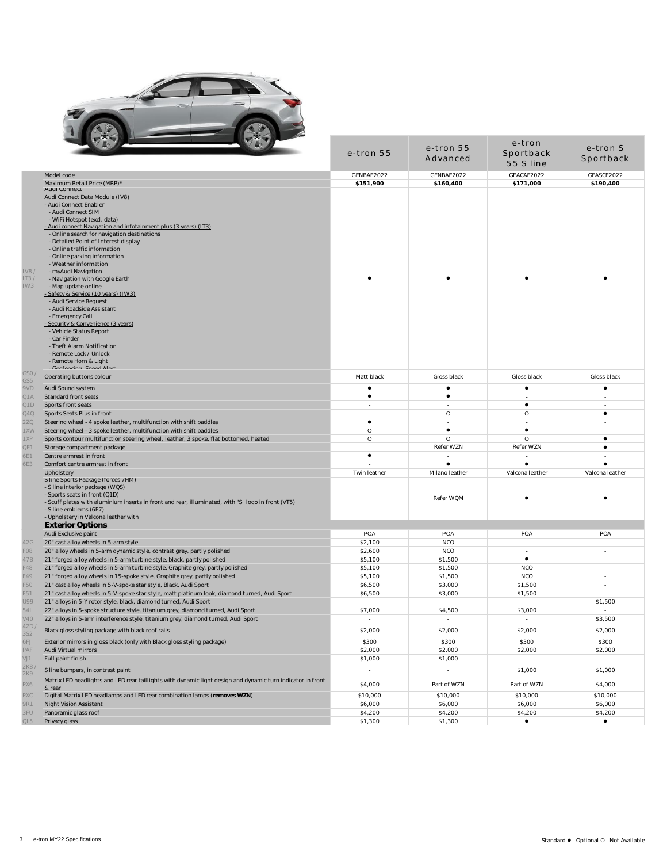

|                                                                                                                                                                                                                                                                                                                                                                                                                                                                                                                                                                                                                                             | e-tron 55         | e-tron 55<br>Advanced       | e-tron<br>Sportback<br>55 S line    | e-tron S<br>Sportback               |  |  |
|---------------------------------------------------------------------------------------------------------------------------------------------------------------------------------------------------------------------------------------------------------------------------------------------------------------------------------------------------------------------------------------------------------------------------------------------------------------------------------------------------------------------------------------------------------------------------------------------------------------------------------------------|-------------------|-----------------------------|-------------------------------------|-------------------------------------|--|--|
| Model code                                                                                                                                                                                                                                                                                                                                                                                                                                                                                                                                                                                                                                  | GENBAE2022        | GENBAE2022                  | GEACAE2022                          | GEASCE2022                          |  |  |
| Maximum Retail Price (MRP)*                                                                                                                                                                                                                                                                                                                                                                                                                                                                                                                                                                                                                 | \$151,900         | \$160,400                   | \$171,000                           | \$190,400                           |  |  |
| <b>Audi Connect</b><br>Audi Connect Data Module (IV8)<br>- Audi Connect Enabler<br>- Audi Connect SIM<br>- WiFi Hotspot (excl. data)                                                                                                                                                                                                                                                                                                                                                                                                                                                                                                        |                   |                             |                                     |                                     |  |  |
| - Audi connect Navigation and infotainment plus (3 years) (IT3)<br>- Online search for navigation destinations<br>- Detailed Point of Interest display<br>- Online traffic information<br>- Online parking information<br>- Weather information<br>IV8/<br>- myAudi Navigation<br>IT3/<br>- Navigation with Google Earth<br>IW3<br>- Map update online<br>- Safety & Service (10 years) (IW3).<br>- Audi Service Request<br>- Audi Roadside Assistant<br>- Emergency Call<br>- Security & Convenience (3 years)<br>- Vehicle Status Report<br>- Car Finder<br>- Theft Alarm Notification<br>- Remote Lock / Unlock<br>- Remote Horn & Light |                   |                             |                                     |                                     |  |  |
| Confoncing Spood Alart<br>GSO.                                                                                                                                                                                                                                                                                                                                                                                                                                                                                                                                                                                                              |                   |                             |                                     |                                     |  |  |
| Operating buttons colour<br>GS5                                                                                                                                                                                                                                                                                                                                                                                                                                                                                                                                                                                                             | Matt black        | Gloss black                 | Gloss black                         | Gloss black                         |  |  |
| 9VD<br>Audi Sound system                                                                                                                                                                                                                                                                                                                                                                                                                                                                                                                                                                                                                    | $\bullet$         | $\bullet$                   | $\bullet$                           | ٠                                   |  |  |
| Q1A<br>Standard front seats                                                                                                                                                                                                                                                                                                                                                                                                                                                                                                                                                                                                                 | $\bullet$         | $\bullet$                   |                                     |                                     |  |  |
| Q1D<br>Sports front seats                                                                                                                                                                                                                                                                                                                                                                                                                                                                                                                                                                                                                   |                   |                             | ٠                                   |                                     |  |  |
| Q4Q<br>Sports Seats Plus in front                                                                                                                                                                                                                                                                                                                                                                                                                                                                                                                                                                                                           | ÷,                | $\circ$                     | O                                   | ٠                                   |  |  |
| 2ZQ<br>Steering wheel - 4 spoke leather, multifunction with shift paddles                                                                                                                                                                                                                                                                                                                                                                                                                                                                                                                                                                   | $\bullet$         | $\overline{\phantom{a}}$    | $\overline{\phantom{a}}$            | ٠                                   |  |  |
| 1XW<br>Steering wheel - 3 spoke leather, multifunction with shift paddles                                                                                                                                                                                                                                                                                                                                                                                                                                                                                                                                                                   | $\circ$           | $\bullet$                   | $\bullet$                           | $\overline{\phantom{a}}$            |  |  |
| 1XP<br>Sports contour multifunction steering wheel, leather, 3 spoke, flat bottomed, heated                                                                                                                                                                                                                                                                                                                                                                                                                                                                                                                                                 | $\circ$           | $\circ$                     | O                                   | $\bullet$                           |  |  |
| QE1<br>Storage compartment package                                                                                                                                                                                                                                                                                                                                                                                                                                                                                                                                                                                                          | $\sim$            | Refer WZN                   | Refer WZN                           | ٠                                   |  |  |
| 6E1<br>Centre armrest in front                                                                                                                                                                                                                                                                                                                                                                                                                                                                                                                                                                                                              | $\bullet$         |                             |                                     |                                     |  |  |
| 6E3<br>Comfort centre armrest in front                                                                                                                                                                                                                                                                                                                                                                                                                                                                                                                                                                                                      | ä,                | $\bullet$                   | ٠                                   | $\bullet$                           |  |  |
| Upholstery<br>S line Sports Package (forces 7HM)<br>- S line interior package (WQS)<br>- Sports seats in front (Q1D)<br>- Scuff plates with aluminium inserts in front and rear, illuminated, with "S" logo in front (VT5)<br>- S line emblems (6F7)<br>- Upholsterv in Valcona leather with                                                                                                                                                                                                                                                                                                                                                | Twin leather      | Milano leather<br>Refer WQM | Valcona leather                     | Valcona leather                     |  |  |
| <b>Exterior Options</b>                                                                                                                                                                                                                                                                                                                                                                                                                                                                                                                                                                                                                     |                   |                             |                                     |                                     |  |  |
| Audi Exclusive paint                                                                                                                                                                                                                                                                                                                                                                                                                                                                                                                                                                                                                        | <b>POA</b>        | <b>POA</b>                  | POA                                 | POA                                 |  |  |
| 42G<br>20" cast alloy wheels in 5-arm style                                                                                                                                                                                                                                                                                                                                                                                                                                                                                                                                                                                                 | \$2,100           | <b>NCO</b>                  | $\overline{\phantom{a}}$            |                                     |  |  |
| FO <sub>8</sub><br>20" alloy wheels in 5-arm dynamic style, contrast grey, partly polished                                                                                                                                                                                                                                                                                                                                                                                                                                                                                                                                                  | \$2,600           | <b>NCO</b>                  |                                     |                                     |  |  |
| 47B<br>21" forged alloy wheels in 5-arm turbine style, black, partly polished                                                                                                                                                                                                                                                                                                                                                                                                                                                                                                                                                               | \$5,100           | \$1,500                     | $\bullet$                           | ٠                                   |  |  |
| F48<br>21" forged alloy wheels in 5-arm turbine style, Graphite grey, partly polished                                                                                                                                                                                                                                                                                                                                                                                                                                                                                                                                                       | \$5,100           | \$1,500                     | <b>NCO</b>                          | $\overline{\phantom{a}}$            |  |  |
| F49<br>21" forged alloy wheels in 15-spoke style, Graphite grey, partly polished                                                                                                                                                                                                                                                                                                                                                                                                                                                                                                                                                            | \$5,100           | \$1,500                     | <b>NCO</b>                          | $\mathbf{r}$                        |  |  |
| F50<br>21" cast alloy wheels in 5-V-spoke star style, Black, Audi Sport                                                                                                                                                                                                                                                                                                                                                                                                                                                                                                                                                                     | \$6,500           | \$3,000                     | \$1,500                             |                                     |  |  |
| F51<br>21" cast alloy wheels in 5-V-spoke star style, matt platinum look, diamond turned, Audi Sport                                                                                                                                                                                                                                                                                                                                                                                                                                                                                                                                        | \$6,500           | \$3,000                     | \$1,500                             |                                     |  |  |
| U99<br>21" alloys in 5-Y rotor style, black, diamond turned, Audi Sport<br>54L                                                                                                                                                                                                                                                                                                                                                                                                                                                                                                                                                              | $\sim$<br>\$7,000 | $\sim$<br>\$4,500           | $\overline{\phantom{a}}$<br>\$3,000 | \$1,500<br>$\overline{\phantom{a}}$ |  |  |
| 22" alloys in 5-spoke structure style, titanium grey, diamond turned, Audi Sport<br>V40<br>22" alloys in 5-arm interference style, titanium grey, diamond turned, Audi Sport                                                                                                                                                                                                                                                                                                                                                                                                                                                                | $\sim$            | $\sim$                      | $\mathbf{r}$                        | \$3,500                             |  |  |
| 42D/                                                                                                                                                                                                                                                                                                                                                                                                                                                                                                                                                                                                                                        |                   |                             |                                     |                                     |  |  |
| Black gloss styling package with black roof rails<br>3S2                                                                                                                                                                                                                                                                                                                                                                                                                                                                                                                                                                                    | \$2,000           | \$2,000                     | \$2,000                             | \$2,000                             |  |  |
| 6FJ<br>Exterior mirrors in gloss black (only with Black gloss styling package)                                                                                                                                                                                                                                                                                                                                                                                                                                                                                                                                                              | \$300             | \$300                       | \$300                               | \$300                               |  |  |
| PAF<br>Audi Virtual mirrors                                                                                                                                                                                                                                                                                                                                                                                                                                                                                                                                                                                                                 | \$2,000           | \$2,000                     | \$2,000                             | \$2,000                             |  |  |
| VJ1<br>Full paint finish                                                                                                                                                                                                                                                                                                                                                                                                                                                                                                                                                                                                                    | \$1,000           | \$1,000                     | $\sim$                              | $\sim$                              |  |  |
| 2K8,<br>S line bumpers, in contrast paint<br>2K9                                                                                                                                                                                                                                                                                                                                                                                                                                                                                                                                                                                            | $\overline{a}$    | $\Box$                      | \$1,000                             | \$1,000                             |  |  |
| Matrix LED headlights and LED rear taillights with dynamic light design and dynamic turn indicator in front<br>PX6<br>& rear                                                                                                                                                                                                                                                                                                                                                                                                                                                                                                                | \$4,000           | Part of WZN                 | Part of WZN                         | \$4,000                             |  |  |
| PXC<br>Digital Matrix LED headlamps and LED rear combination lamps (removes WZN)                                                                                                                                                                                                                                                                                                                                                                                                                                                                                                                                                            | \$10,000          | \$10,000                    | \$10,000                            | \$10,000                            |  |  |
| 9R1<br>Night Vision Assistant                                                                                                                                                                                                                                                                                                                                                                                                                                                                                                                                                                                                               | \$6,000           | \$6,000                     | \$6,000                             | \$6,000                             |  |  |
| 3FU<br>Panoramic glass roof                                                                                                                                                                                                                                                                                                                                                                                                                                                                                                                                                                                                                 | \$4,200           | \$4,200                     | \$4,200                             | \$4,200                             |  |  |
| QL5<br>Privacy glass                                                                                                                                                                                                                                                                                                                                                                                                                                                                                                                                                                                                                        | \$1,300           | \$1,300                     | $\bullet$                           | $\bullet$                           |  |  |